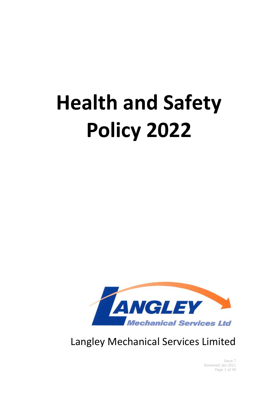# **Health and Safety Policy 2022**



Langley Mechanical Services Limited

Issue 7 Reviewed Jan 2021 Page 1 of 49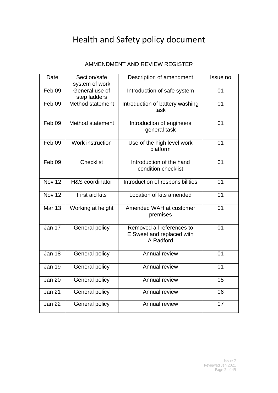# Health and Safety policy document

#### AMMENDMENT AND REVIEW REGISTER

| Date              | Section/safe<br>system of work | Description of amendment                                            | Issue no       |
|-------------------|--------------------------------|---------------------------------------------------------------------|----------------|
| Feb <sub>09</sub> | General use of<br>step ladders | Introduction of safe system                                         | 01             |
| Feb 09            | Method statement               | Introduction of battery washing<br>task                             | 01             |
| Feb <sub>09</sub> | Method statement               | Introduction of engineers<br>general task                           | 01             |
| Feb <sub>09</sub> | Work instruction               | Use of the high level work<br>platform                              | 01             |
| Feb <sub>09</sub> | <b>Checklist</b>               | Introduction of the hand<br>condition checklist                     | 0 <sub>1</sub> |
| Nov 12            | H&S coordinator                | Introduction of responsibilities                                    | 01             |
| Nov 12            | First aid kits                 | Location of kits amended                                            | 01             |
| <b>Mar 13</b>     | Working at height              | Amended WAH at customer<br>premises                                 | 01             |
| Jan 17            | General policy                 | Removed all references to<br>E Sweet and replaced with<br>A Radford | 01             |
| <b>Jan 18</b>     | General policy                 | Annual review                                                       | 01             |
| <b>Jan 19</b>     | General policy                 | Annual review                                                       | 01             |
| <b>Jan 20</b>     | General policy                 | Annual review                                                       | 05             |
| Jan 21            | General policy                 | Annual review                                                       | 06             |
| <b>Jan 22</b>     | <b>General policy</b>          | Annual review                                                       | 07             |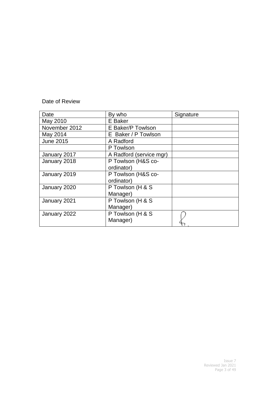#### Date of Review

| Date             | By who                  | Signature |
|------------------|-------------------------|-----------|
| May 2010         | E Baker                 |           |
| November 2012    | E Baker/P Towlson       |           |
| May 2014         | E Baker / P Towlson     |           |
| <b>June 2015</b> | A Radford               |           |
|                  | P Towlson               |           |
| January 2017     | A Radford (service mgr) |           |
| January 2018     | P Towlson (H&S co-      |           |
|                  | ordinator)              |           |
| January 2019     | P Towlson (H&S co-      |           |
|                  | ordinator)              |           |
| January 2020     | P Towlson (H & S        |           |
|                  | Manager)                |           |
| January 2021     | P Towlson (H & S        |           |
|                  | Manager)                |           |
| January 2022     | P Towlson (H & S        |           |
|                  | Manager)                |           |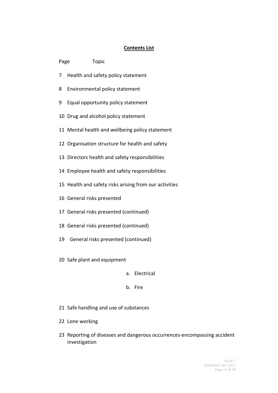#### **Contents List**

| Page | Topic                                                  |  |  |
|------|--------------------------------------------------------|--|--|
| 7    | Health and safety policy statement                     |  |  |
| 8    | Environmental policy statement                         |  |  |
| 9    | Equal opportunity policy statement                     |  |  |
|      | 10 Drug and alcohol policy statement                   |  |  |
|      | 11 Mental health and wellbeing policy statement        |  |  |
|      | 12 Organisation structure for health and safety        |  |  |
|      | 13 Directors health and safety responsibilities        |  |  |
|      | 14 Employee health and safety responsibilities         |  |  |
|      | 15 Health and safety risks arising from our activities |  |  |
|      | 16 General risks presented                             |  |  |
|      | 17 General risks presented (continued)                 |  |  |
|      | 18 General risks presented (continued)                 |  |  |
|      | 19 General risks presented (continued)                 |  |  |
|      | 20 Safe plant and equipment                            |  |  |
|      | Electrical<br>а.                                       |  |  |
|      | Fire<br>b.                                             |  |  |

- Safe handling and use of substances
- Lone working
- Reporting of diseases and dangerous occurrences-encompassing accident investigation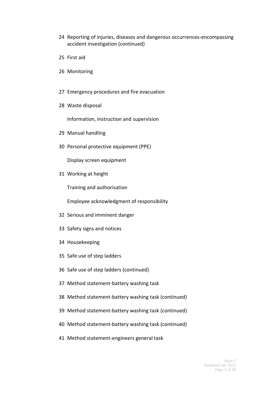- Reporting of injuries, diseases and dangerous occurrences-encompassing accident investigation (continued)
- First aid
- Monitoring
- Emergency procedures and fire evacuation
- Waste disposal

Information, instruction and supervision

- Manual handling
- Personal protective equipment (PPE)

Display screen equipment

Working at height

Training and authorisation

Employee acknowledgment of responsibility

- Serious and imminent danger
- Safety signs and notices
- Housekeeping
- Safe use of step ladders
- Safe use of step ladders (continued)
- Method statement-battery washing task
- Method statement-battery washing task (continued)
- Method statement-battery washing task (continued)
- Method statement-battery washing task (continued)
- Method statement-engineers general task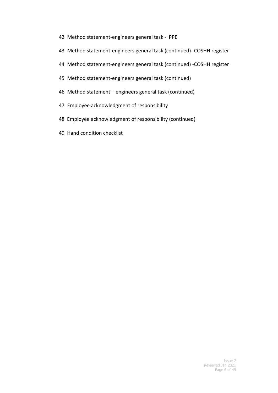- 42 Method statement-engineers general task PPE
- 43 Method statement-engineers general task (continued) -COSHH register
- 44 Method statement-engineers general task (continued) -COSHH register
- 45 Method statement-engineers general task (continued)
- 46 Method statement engineers general task (continued)
- 47 Employee acknowledgment of responsibility
- 48 Employee acknowledgment of responsibility (continued)
- 49 Hand condition checklist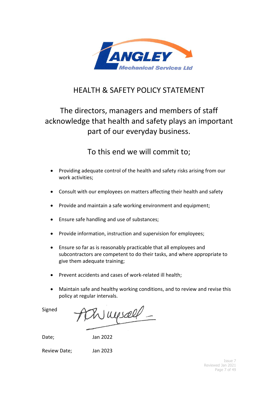

## HEALTH & SAFETY POLICY STATEMENT

# The directors, managers and members of staff acknowledge that health and safety plays an important part of our everyday business.

# To this end we will commit to;

- Providing adequate control of the health and safety risks arising from our work activities;
- Consult with our employees on matters affecting their health and safety
- Provide and maintain a safe working environment and equipment;
- Ensure safe handling and use of substances;
- Provide information, instruction and supervision for employees;
- Ensure so far as is reasonably practicable that all employees and subcontractors are competent to do their tasks, and where appropriate to give them adequate training;
- Prevent accidents and cases of work-related ill health;
- Maintain safe and healthy working conditions, and to review and revise this policy at regular intervals.

Signed

 $R$  upsell  $-$ 

Date; Jan 2022

Review Date; Jan 2023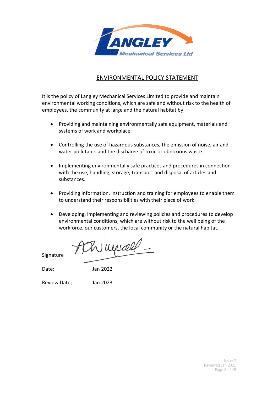

#### ENVIRONMENTAL POLICY STATEMENT

It is the policy of Langley Mechanical Services Limited to provide and maintain environmental working conditions, which are safe and without risk to the health of employees, the community at large and the natural habitat by;

- Providing and maintaining environmentally safe equipment, materials and systems of work and workplace.
- Controlling the use of hazardous substances, the emission of noise, air and water pollutants and the discharge of toxic or obnoxious waste.
- Implementing environmentally safe practices and procedures in connection with the use, handling, storage, transport and disposal of articles and substances.
- Providing information, instruction and training for employees to enable them to understand their responsibilities with their place of work.
- Developing, implementing and reviewing policies and procedures to develop environmental conditions, which are without risk to the well being of the workforce, our customers, the local community or the natural habitat.

Th myself -

Signature

Date; Jan 2022

Review Date; Jan 2023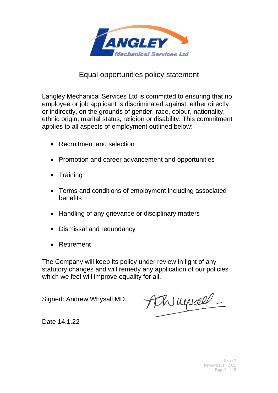

## Equal opportunities policy statement

Langley Mechanical Services Ltd is committed to ensuring that no employee or job applicant is discriminated against, either directly or indirectly, on the grounds of gender, race, colour, nationality, ethnic origin, marital status, religion or disability. This commitment applies to all aspects of employment outlined below:

- Recruitment and selection
- Promotion and career advancement and opportunities
- Training
- Terms and conditions of employment including associated benefits
- Handling of any grievance or disciplinary matters
- Dismissal and redundancy
- Retirement

The Company will keep its policy under review in light of any statutory changes and will remedy any application of our policies which we feel will improve equality for all.

Signed: Andrew Whysall MD.

Achimesall -

Date 14.1.22

Issue 7 Reviewed Jan 2021 Page 9 of 49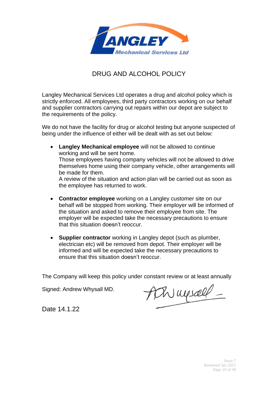

## DRUG AND ALCOHOL POLICY

Langley Mechanical Services Ltd operates a drug and alcohol policy which is strictly enforced. All employees, third party contractors working on our behalf and supplier contractors carrying out repairs within our depot are subject to the requirements of the policy.

We do not have the facility for drug or alcohol testing but anyone suspected of being under the influence of either will be dealt with as set out below:

- **Langley Mechanical employee** will not be allowed to continue working and will be sent home. Those employees having company vehicles will not be allowed to drive themselves home using their company vehicle, other arrangements will be made for them. A review of the situation and action plan will be carried out as soon as the employee has returned to work.
- **Contractor employee** working on a Langley customer site on our behalf will be stopped from working. Their employer will be informed of the situation and asked to remove their employee from site. The employer will be expected take the necessary precautions to ensure that this situation doesn't reoccur.
- **Supplier contractor** working in Langley depot (such as plumber, electrician etc) will be removed from depot. Their employer will be informed and will be expected take the necessary precautions to ensure that this situation doesn't reoccur.

The Company will keep this policy under constant review or at least annually

Signed: Andrew Whysall MD.

Achinessell -

Date 14.1.22

Issue 7 Reviewed Jan 2021 Page 10 of 49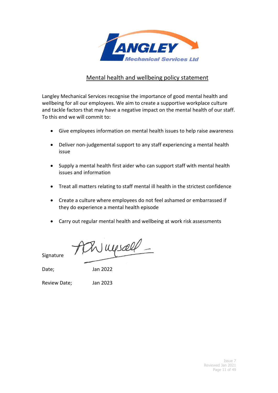

#### Mental health and wellbeing policy statement

Langley Mechanical Services recognise the importance of good mental health and wellbeing for all our employees. We aim to create a supportive workplace culture and tackle factors that may have a negative impact on the mental health of our staff. To this end we will commit to:

- Give employees information on mental health issues to help raise awareness
- Deliver non-judgemental support to any staff experiencing a mental health issue
- Supply a mental health first aider who can support staff with mental health issues and information
- Treat all matters relating to staff mental ill health in the strictest confidence
- Create a culture where employees do not feel ashamed or embarrassed if they do experience a mental health episode
- Carry out regular mental health and wellbeing at work risk assessments

Wuysell -

Signature

Date; Jan 2022

Review Date; Jan 2023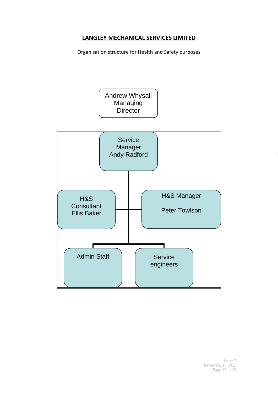## **LANGLEY MECHANICAL SERVICES LIMITED**

Organisation structure for Health and Safety purposes

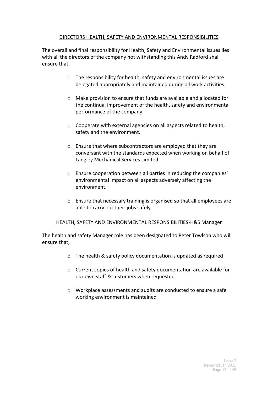#### DIRECTORS HEALTH, SAFETY AND ENVIRONMENTAL RESPONSIBILITIES

The overall and final responsibility for Health, Safety and Environmental issues lies with all the directors of the company not withstanding this Andy Radford shall ensure that,

- o The responsibility for health, safety and environmental issues are delegated appropriately and maintained during all work activities.
- o Make provision to ensure that funds are available and allocated for the continual improvement of the health, safety and environmental performance of the company.
- o Cooperate with external agencies on all aspects related to health, safety and the environment.
- o Ensure that where subcontractors are employed that they are conversant with the standards expected when working on behalf of Langley Mechanical Services Limited.
- o Ensure cooperation between all parties in reducing the companies' environmental impact on all aspects adversely affecting the environment.
- o Ensure that necessary training is organised so that all employees are able to carry out their jobs safely.

#### HEALTH, SAFETY AND ENVIRONMENTAL RESPONSIBILITIES-H&S Manager

The health and safety Manager role has been designated to Peter Towlson who will ensure that,

- o The health & safety policy documentation is updated as required
- o Current copies of health and safety documentation are available for our own staff & customers when requested
- o Workplace assessments and audits are conducted to ensure a safe working environment is maintained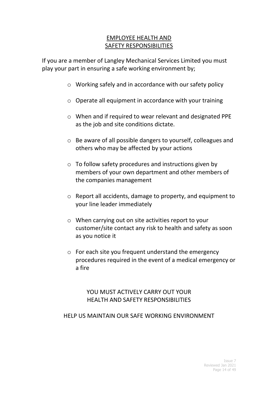## EMPLOYEE HEALTH AND SAFETY RESPONSIBILITIES

If you are a member of Langley Mechanical Services Limited you must play your part in ensuring a safe working environment by;

- o Working safely and in accordance with our safety policy
- o Operate all equipment in accordance with your training
- o When and if required to wear relevant and designated PPE as the job and site conditions dictate.
- o Be aware of all possible dangers to yourself, colleagues and others who may be affected by your actions
- o To follow safety procedures and instructions given by members of your own department and other members of the companies management
- o Report all accidents, damage to property, and equipment to your line leader immediately
- o When carrying out on site activities report to your customer/site contact any risk to health and safety as soon as you notice it
- o For each site you frequent understand the emergency procedures required in the event of a medical emergency or a fire

## YOU MUST ACTIVELY CARRY OUT YOUR HEALTH AND SAFETY RESPONSIBILITIES

#### HELP US MAINTAIN OUR SAFE WORKING ENVIRONMENT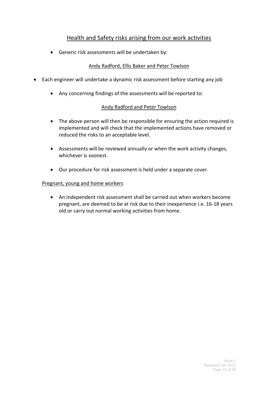#### Health and Safety risks arising from our work activities

• Generic risk assessments will be undertaken by:

#### Andy Radford, Ellis Baker and Peter Towlson

- Each engineer will undertake a dynamic risk assessment before starting any job
	- Any concerning findings of the assessments will be reported to:

#### Andy Radford and Peter Towlson

- The above person will then be responsible for ensuring the action required is implemented and will check that the implemented actions have removed or reduced the risks to an acceptable level.
- Assessments will be reviewed annually or when the work activity changes, whichever is soonest.
- Our procedure for risk assessment is held under a separate cover.

#### Pregnant, young and home workers

• An independent risk assessment shall be carried out when workers become pregnant, are deemed to be at risk due to their inexperience i.e. 16-18 years old or carry out normal working activities from home.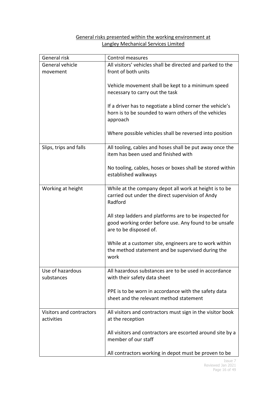#### General risks presented within the working environment at Langley Mechanical Services Limited

| General risk             | Control measures                                                                                                  |  |
|--------------------------|-------------------------------------------------------------------------------------------------------------------|--|
| General vehicle          | All visitors' vehicles shall be directed and parked to the                                                        |  |
| movement                 | front of both units                                                                                               |  |
|                          | Vehicle movement shall be kept to a minimum speed                                                                 |  |
|                          | necessary to carry out the task                                                                                   |  |
|                          |                                                                                                                   |  |
|                          | If a driver has to negotiate a blind corner the vehicle's<br>horn is to be sounded to warn others of the vehicles |  |
|                          | approach                                                                                                          |  |
|                          |                                                                                                                   |  |
|                          | Where possible vehicles shall be reversed into position                                                           |  |
| Slips, trips and falls   | All tooling, cables and hoses shall be put away once the                                                          |  |
|                          | item has been used and finished with                                                                              |  |
|                          | No tooling, cables, hoses or boxes shall be stored within                                                         |  |
|                          | established walkways                                                                                              |  |
|                          |                                                                                                                   |  |
| Working at height        | While at the company depot all work at height is to be<br>carried out under the direct supervision of Andy        |  |
|                          | Radford                                                                                                           |  |
|                          |                                                                                                                   |  |
|                          | All step ladders and platforms are to be inspected for<br>good working order before use. Any found to be unsafe   |  |
|                          | are to be disposed of.                                                                                            |  |
|                          |                                                                                                                   |  |
|                          | While at a customer site, engineers are to work within<br>the method statement and be supervised during the       |  |
|                          | work                                                                                                              |  |
|                          |                                                                                                                   |  |
| Use of hazardous         | All hazardous substances are to be used in accordance                                                             |  |
| substances               | with their safety data sheet                                                                                      |  |
|                          | PPE is to be worn in accordance with the safety data                                                              |  |
|                          | sheet and the relevant method statement                                                                           |  |
| Visitors and contractors | All visitors and contractors must sign in the visitor book                                                        |  |
| activities               | at the reception                                                                                                  |  |
|                          |                                                                                                                   |  |
|                          | All visitors and contractors are escorted around site by a<br>member of our staff                                 |  |
|                          |                                                                                                                   |  |
|                          | All contractors working in depot must be proven to be                                                             |  |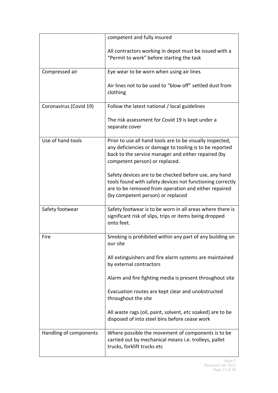|                        | competent and fully insured                                                                                                                                                                                     |  |
|------------------------|-----------------------------------------------------------------------------------------------------------------------------------------------------------------------------------------------------------------|--|
|                        | All contractors working in depot must be issued with a<br>"Permit to work" before starting the task                                                                                                             |  |
| Compressed air         | Eye wear to be worn when using air lines                                                                                                                                                                        |  |
|                        | Air lines not to be used to "blow off" settled dust from<br>clothing                                                                                                                                            |  |
| Coronavirus (Covid 19) | Follow the latest national / local guidelines                                                                                                                                                                   |  |
|                        | The risk assessment for Covid 19 is kept under a<br>separate cover                                                                                                                                              |  |
| Use of hand tools      | Prior to use all hand tools are to be visually inspected,<br>any deficiencies or damage to tooling is to be reported<br>back to the service manager and either repaired (by<br>competent person) or replaced.   |  |
|                        | Safety devices are to be checked before use, any hand<br>tools found with safety devices not functioning correctly<br>are to be removed from operation and either repaired<br>(by competent person) or replaced |  |
| Safety footwear        | Safety footwear is to be worn in all areas where there is<br>significant risk of slips, trips or items being dropped<br>onto feet.                                                                              |  |
| Fire                   | Smoking is prohibited within any part of any building on<br>our site                                                                                                                                            |  |
|                        | All extinguishers and fire alarm systems are maintained<br>by external contractors                                                                                                                              |  |
|                        | Alarm and fire fighting media is present throughout site                                                                                                                                                        |  |
|                        | Evacuation routes are kept clear and unobstructed<br>throughout the site                                                                                                                                        |  |
|                        | All waste rags (oil, paint, solvent, etc soaked) are to be<br>disposed of into steel bins before cease work                                                                                                     |  |
| Handling of components | Where possible the movement of components is to be<br>carried out by mechanical means i.e. trolleys, pallet<br>trucks, forklift trucks etc                                                                      |  |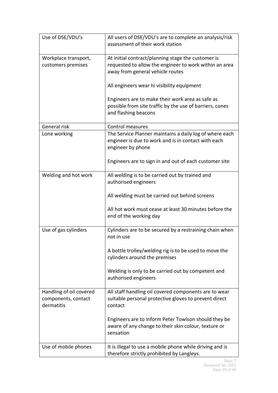| Use of DSE/VDU's                                             | All users of DSE/VDU's are to complete an analysis/risk<br>assessment of their work station                                                      |  |
|--------------------------------------------------------------|--------------------------------------------------------------------------------------------------------------------------------------------------|--|
| Workplace transport,<br>customers premises                   | At initial contract/planning stage the customer is<br>requested to allow the engineer to work within an area<br>away from general vehicle routes |  |
|                                                              | All engineers wear hi visibility equipment                                                                                                       |  |
|                                                              | Engineers are to make their work area as safe as<br>possible from site traffic by the use of barriers, cones<br>and flashing beacons             |  |
| General risk                                                 | <b>Control measures</b>                                                                                                                          |  |
| Lone working                                                 | The Service Planner maintains a daily log of where each<br>engineer is due to work and is in contact with each<br>engineer by phone              |  |
|                                                              | Engineers are to sign in and out of each customer site                                                                                           |  |
| Welding and hot work                                         | All welding is to be carried out by trained and<br>authorised engineers                                                                          |  |
|                                                              | All welding must be carried out behind screens                                                                                                   |  |
|                                                              | All hot work must cease at least 30 minutes before the<br>end of the working day                                                                 |  |
| Use of gas cylinders                                         | Cylinders are to be secured by a restraining chain when<br>not in use                                                                            |  |
|                                                              | A bottle trolley/welding rig is to be used to move the<br>cylinders around the premises                                                          |  |
|                                                              | Welding is only to be carried out by competent and<br>authorised engineers                                                                       |  |
| Handling of oil covered<br>components, contact<br>dermatitis | All staff handling oil covered components are to wear<br>suitable personal protective gloves to prevent direct<br>contact                        |  |
|                                                              | Engineers are to inform Peter Towlson should they be<br>aware of any change to their skin colour, texture or<br>sensation                        |  |
| Use of mobile phones                                         | It is illegal to use a mobile phone while driving and is<br>therefore strictly prohibited by Langleys.                                           |  |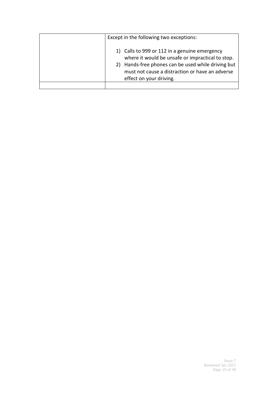| Except in the following two exceptions:                                                                                                                                                                                               |  |
|---------------------------------------------------------------------------------------------------------------------------------------------------------------------------------------------------------------------------------------|--|
| 1) Calls to 999 or 112 in a genuine emergency<br>where it would be unsafe or impractical to stop.<br>2) Hands-free phones can be used while driving but<br>must not cause a distraction or have an adverse<br>effect on your driving. |  |
|                                                                                                                                                                                                                                       |  |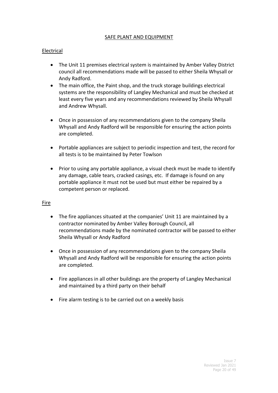#### SAFE PLANT AND EQUIPMENT

#### Electrical

- The Unit 11 premises electrical system is maintained by Amber Valley District council all recommendations made will be passed to either Sheila Whysall or Andy Radford.
- The main office, the Paint shop, and the truck storage buildings electrical systems are the responsibility of Langley Mechanical and must be checked at least every five years and any recommendations reviewed by Sheila Whysall and Andrew Whysall.
- Once in possession of any recommendations given to the company Sheila Whysall and Andy Radford will be responsible for ensuring the action points are completed.
- Portable appliances are subject to periodic inspection and test, the record for all tests is to be maintained by Peter Towlson
- Prior to using any portable appliance, a visual check must be made to identify any damage, cable tears, cracked casings, etc. If damage is found on any portable appliance it must not be used but must either be repaired by a competent person or replaced.

#### Fire

- The fire appliances situated at the companies' Unit 11 are maintained by a contractor nominated by Amber Valley Borough Council, all recommendations made by the nominated contractor will be passed to either Sheila Whysall or Andy Radford
- Once in possession of any recommendations given to the company Sheila Whysall and Andy Radford will be responsible for ensuring the action points are completed.
- Fire appliances in all other buildings are the property of Langley Mechanical and maintained by a third party on their behalf
- Fire alarm testing is to be carried out on a weekly basis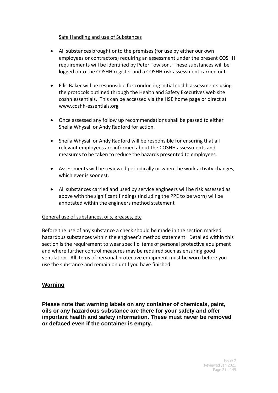#### Safe Handling and use of Substances

- All substances brought onto the premises (for use by either our own employees or contractors) requiring an assessment under the present COSHH requirements will be identified by Peter Towlson. These substances will be logged onto the COSHH register and a COSHH risk assessment carried out.
- Ellis Baker will be responsible for conducting initial coshh assessments using the protocols outlined through the Health and Safety Executives web site coshh essentials. This can be accessed via the HSE home page or direct at www.coshh-essentials.org
- Once assessed any follow up recommendations shall be passed to either Sheila Whysall or Andy Radford for action.
- Sheila Whysall or Andy Radford will be responsible for ensuring that all relevant employees are informed about the COSHH assessments and measures to be taken to reduce the hazards presented to employees.
- Assessments will be reviewed periodically or when the work activity changes, which ever is soonest.
- All substances carried and used by service engineers will be risk assessed as above with the significant findings (including the PPE to be worn) will be annotated within the engineers method statement

#### General use of substances, oils, greases, etc

Before the use of any substance a check should be made in the section marked hazardous substances within the engineer's method statement. Detailed within this section is the requirement to wear specific items of personal protective equipment and where further control measures may be required such as ensuring good ventilation. All items of personal protective equipment must be worn before you use the substance and remain on until you have finished.

#### **Warning**

**Please note that warning labels on any container of chemicals, paint, oils or any hazardous substance are there for your safety and offer important health and safety information. These must never be removed or defaced even if the container is empty.**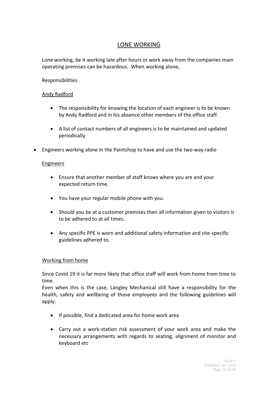## LONE WORKING

Lone working, be it working late after hours or work away from the companies main operating premises can be hazardous. When working alone,

#### Responsibilities

#### Andy Radford

- The responsibility for knowing the location of each engineer is to be known by Andy Radford and in his absence other members of the office staff.
- A list of contact numbers of all engineers is to be maintained and updated periodically
- Engineers working alone in the Paintshop to have and use the two-way radio

#### Engineers

- Ensure that another member of staff knows where you are and your expected return time.
- You have your regular mobile phone with you.
- Should you be at a customer premises then all information given to visitors is to be adhered to at all times.
- Any specific PPE is worn and additional safety information and site-specific guidelines adhered to.

#### Working from home

Since Covid 19 it is far more likely that office staff will work from home from time to time.

Even when this is the case, Langley Mechanical still have a responsibility for the health, safety and wellbeing of those employees and the following guidelines will apply:

- If possible, find a dedicated area for home work area
- Carry out a work-station risk assessment of your work area and make the necessary arrangements with regards to seating, alignment of monitor and keyboard etc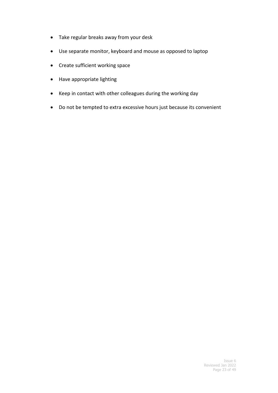- Take regular breaks away from your desk
- Use separate monitor, keyboard and mouse as opposed to laptop
- Create sufficient working space
- Have appropriate lighting
- Keep in contact with other colleagues during the working day
- Do not be tempted to extra excessive hours just because its convenient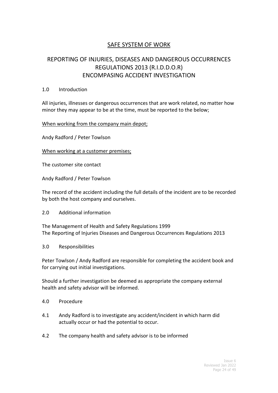## SAFE SYSTEM OF WORK

## REPORTING OF INJURIES, DISEASES AND DANGEROUS OCCURRENCES REGULATIONS 2013 (R.I.D.D.O.R) ENCOMPASING ACCIDENT INVESTIGATION

#### 1.0 Introduction

All injuries, illnesses or dangerous occurrences that are work related, no matter how minor they may appear to be at the time, must be reported to the below;

#### When working from the company main depot;

Andy Radford / Peter Towlson

When working at a customer premises;

The customer site contact

Andy Radford / Peter Towlson

The record of the accident including the full details of the incident are to be recorded by both the host company and ourselves.

2.0 Additional information

The Management of Health and Safety Regulations 1999 The Reporting of Injuries Diseases and Dangerous Occurrences Regulations 2013

3.0 Responsibilities

Peter Towlson / Andy Radford are responsible for completing the accident book and for carrying out initial investigations.

Should a further investigation be deemed as appropriate the company external health and safety advisor will be informed.

- 4.0 Procedure
- 4.1 Andy Radford is to investigate any accident/incident in which harm did actually occur or had the potential to occur.
- 4.2 The company health and safety advisor is to be informed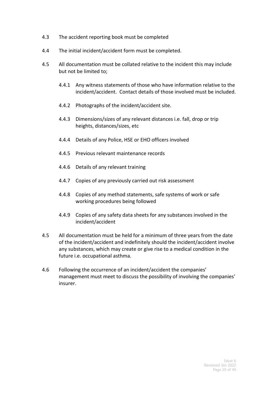- 4.3 The accident reporting book must be completed
- 4.4 The initial incident/accident form must be completed.
- 4.5 All documentation must be collated relative to the incident this may include but not be limited to;
	- 4.4.1 Any witness statements of those who have information relative to the incident/accident. Contact details of those involved must be included.
	- 4.4.2 Photographs of the incident/accident site.
	- 4.4.3 Dimensions/sizes of any relevant distances i.e. fall, drop or trip heights, distances/sizes, etc
	- 4.4.4 Details of any Police, HSE or EHO officers involved
	- 4.4.5 Previous relevant maintenance records
	- 4.4.6 Details of any relevant training
	- 4.4.7 Copies of any previously carried out risk assessment
	- 4.4.8 Copies of any method statements, safe systems of work or safe working procedures being followed
	- 4.4.9 Copies of any safety data sheets for any substances involved in the incident/accident
- 4.5 All documentation must be held for a minimum of three years from the date of the incident/accident and indefinitely should the incident/accident involve any substances, which may create or give rise to a medical condition in the future i.e. occupational asthma.
- 4.6 Following the occurrence of an incident/accident the companies' management must meet to discuss the possibility of involving the companies' insurer.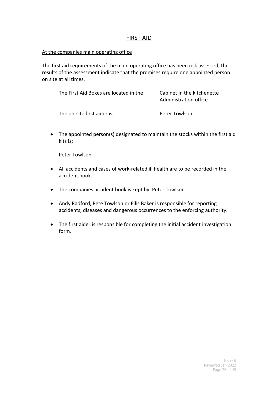#### FIRST AID

#### At the companies main operating office

The first aid requirements of the main operating office has been risk assessed, the results of the assessment indicate that the premises require one appointed person on site at all times.

| The First Aid Boxes are located in the | Cabinet in the kitchenette<br>Administration office |
|----------------------------------------|-----------------------------------------------------|
| The on-site first aider is;            | Peter Towlson                                       |

• The appointed person(s) designated to maintain the stocks within the first aid kits is;

Peter Towlson

- All accidents and cases of work-related ill health are to be recorded in the accident book.
- The companies accident book is kept by: Peter Towlson
- Andy Radford, Pete Towlson or Ellis Baker is responsible for reporting accidents, diseases and dangerous occurrences to the enforcing authority.
- The first aider is responsible for completing the initial accident investigation form.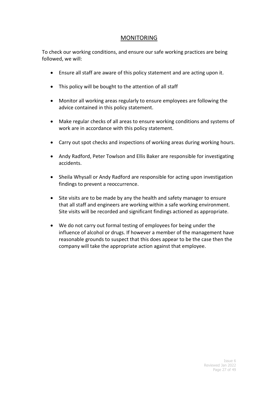#### MONITORING

To check our working conditions, and ensure our safe working practices are being followed, we will:

- Ensure all staff are aware of this policy statement and are acting upon it.
- This policy will be bought to the attention of all staff
- Monitor all working areas regularly to ensure employees are following the advice contained in this policy statement.
- Make regular checks of all areas to ensure working conditions and systems of work are in accordance with this policy statement.
- Carry out spot checks and inspections of working areas during working hours.
- Andy Radford, Peter Towlson and Ellis Baker are responsible for investigating accidents.
- Sheila Whysall or Andy Radford are responsible for acting upon investigation findings to prevent a reoccurrence.
- Site visits are to be made by any the health and safety manager to ensure that all staff and engineers are working within a safe working environment. Site visits will be recorded and significant findings actioned as appropriate.
- We do not carry out formal testing of employees for being under the influence of alcohol or drugs. If however a member of the management have reasonable grounds to suspect that this does appear to be the case then the company will take the appropriate action against that employee.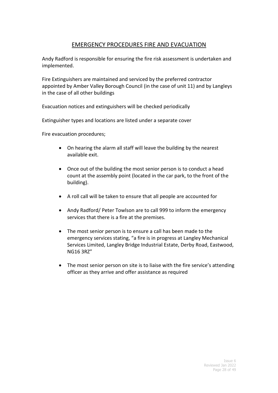## EMERGENCY PROCEDURES FIRE AND EVACUATION

Andy Radford is responsible for ensuring the fire risk assessment is undertaken and implemented.

Fire Extinguishers are maintained and serviced by the preferred contractor appointed by Amber Valley Borough Council (in the case of unit 11) and by Langleys in the case of all other buildings

Evacuation notices and extinguishers will be checked periodically

Extinguisher types and locations are listed under a separate cover

Fire evacuation procedures;

- On hearing the alarm all staff will leave the building by the nearest available exit.
- Once out of the building the most senior person is to conduct a head count at the assembly point (located in the car park, to the front of the building).
- A roll call will be taken to ensure that all people are accounted for
- Andy Radford/ Peter Towlson are to call 999 to inform the emergency services that there is a fire at the premises.
- The most senior person is to ensure a call has been made to the emergency services stating, "a fire is in progress at Langley Mechanical Services Limited, Langley Bridge Industrial Estate, Derby Road, Eastwood, NG16 3RZ"
- The most senior person on site is to liaise with the fire service's attending officer as they arrive and offer assistance as required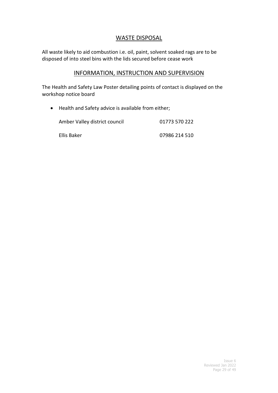#### WASTE DISPOSAL

All waste likely to aid combustion i.e. oil, paint, solvent soaked rags are to be disposed of into steel bins with the lids secured before cease work

#### INFORMATION, INSTRUCTION AND SUPERVISION

The Health and Safety Law Poster detailing points of contact is displayed on the workshop notice board

• Health and Safety advice is available from either;

| Amber Valley district council | 01773 570 222 |
|-------------------------------|---------------|
| Ellis Baker                   | 07986 214 510 |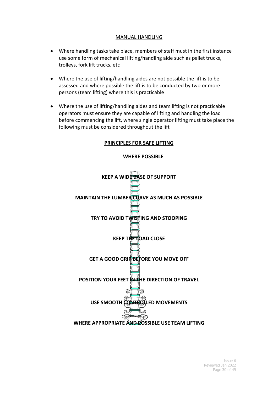#### MANUAL HANDLING

- Where handling tasks take place, members of staff must in the first instance use some form of mechanical lifting/handling aide such as pallet trucks, trolleys, fork lift trucks, etc
- Where the use of lifting/handling aides are not possible the lift is to be assessed and where possible the lift is to be conducted by two or more persons (team lifting) where this is practicable
- Where the use of lifting/handling aides and team lifting is not practicable operators must ensure they are capable of lifting and handling the load before commencing the lift, where single operator lifting must take place the following must be considered throughout the lift

#### **PRINCIPLES FOR SAFE LIFTING**



#### **WHERE POSSIBLE**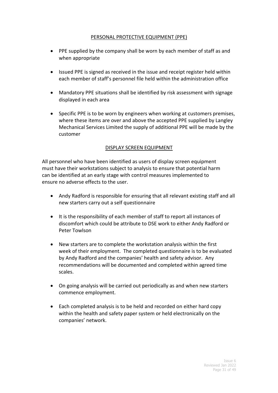#### PERSONAL PROTECTIVE EQUIPMENT (PPE)

- PPE supplied by the company shall be worn by each member of staff as and when appropriate
- Issued PPE is signed as received in the issue and receipt register held within each member of staff's personnel file held within the administration office
- Mandatory PPE situations shall be identified by risk assessment with signage displayed in each area
- Specific PPE is to be worn by engineers when working at customers premises, where these items are over and above the accepted PPE supplied by Langley Mechanical Services Limited the supply of additional PPE will be made by the customer

#### DISPLAY SCREEN EQUIPMENT

All personnel who have been identified as users of display screen equipment must have their workstations subject to analysis to ensure that potential harm can be identified at an early stage with control measures implemented to ensure no adverse effects to the user.

- Andy Radford is responsible for ensuring that all relevant existing staff and all new starters carry out a self questionnaire
- It is the responsibility of each member of staff to report all instances of discomfort which could be attribute to DSE work to either Andy Radford or Peter Towlson
- New starters are to complete the workstation analysis within the first week of their employment. The completed questionnaire is to be evaluated by Andy Radford and the companies' health and safety advisor. Any recommendations will be documented and completed within agreed time scales.
- On going analysis will be carried out periodically as and when new starters commence employment.
- Each completed analysis is to be held and recorded on either hard copy within the health and safety paper system or held electronically on the companies' network.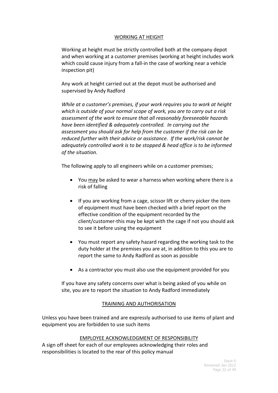#### WORKING AT HEIGHT

Working at height must be strictly controlled both at the company depot and when working at a customer premises (working at height includes work which could cause injury from a fall-in the case of working near a vehicle inspection pit)

Any work at height carried out at the depot must be authorised and supervised by Andy Radford

*While at a customer's premises, if your work requires you to work at height which is outside of your normal scope of work, you are to carry out a risk assessment of the work to ensure that all reasonably foreseeable hazards have been identified & adequately controlled. In carrying out the assessment you should ask for help from the customer if the risk can be reduced further with their advice or assistance. If the work/risk cannot be adequately controlled work is to be stopped & head office is to be informed of the situation.*

The following apply to all engineers while on a customer premises;

- You may be asked to wear a harness when working where there is a risk of falling
- If you are working from a cage, scissor lift or cherry picker the item of equipment must have been checked with a brief report on the effective condition of the equipment recorded by the client/customer-this may be kept with the cage if not you should ask to see it before using the equipment
- You must report any safety hazard regarding the working task to the duty holder at the premises you are at, in addition to this you are to report the same to Andy Radford as soon as possible
- As a contractor you must also use the equipment provided for you

If you have any safety concerns over what is being asked of you while on site, you are to report the situation to Andy Radford immediately

#### TRAINING AND AUTHORISATION

Unless you have been trained and are expressly authorised to use items of plant and equipment you are forbidden to use such items

#### EMPLOYEE ACKNOWLEDGMENT OF RESPONSIBILITY

A sign off sheet for each of our employees acknowledging their roles and responsibilities is located to the rear of this policy manual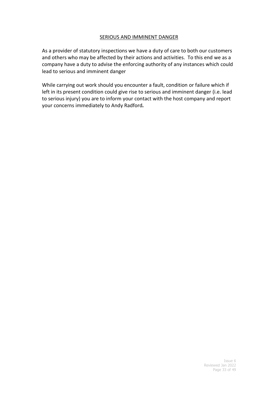#### SERIOUS AND IMMINENT DANGER

As a provider of statutory inspections we have a duty of care to both our customers and others who may be affected by their actions and activities. To this end we as a company have a duty to advise the enforcing authority of any instances which could lead to serious and imminent danger

While carrying out work should you encounter a fault, condition or failure which if left in its present condition could give rise to serious and imminent danger (i.e. lead to serious injury) you are to inform your contact with the host company and report your concerns immediately to Andy Radford*.*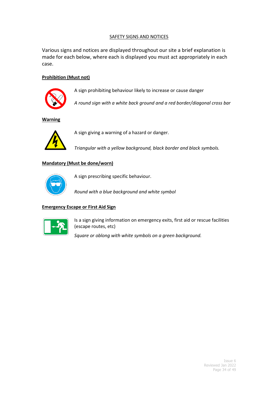#### SAFETY SIGNS AND NOTICES

Various signs and notices are displayed throughout our site a brief explanation is made for each below, where each is displayed you must act appropriately in each case.

#### **Prohibition (Must not)**



A sign prohibiting behaviour likely to increase or cause danger

*A round sign with a white back ground and a red border/diagonal cross bar*

#### **Warning**



A sign giving a warning of a hazard or danger.

*Triangular with a yellow background, black border and black symbols.*

#### **Mandatory (Must be done/worn)**



A sign prescribing specific behaviour.

*Round with a blue background and white symbol*

#### **Emergency Escape or First Aid Sign**



Is a sign giving information on emergency exits, first aid or rescue facilities (escape routes, etc)

*Square or oblong with white symbols on a green background.*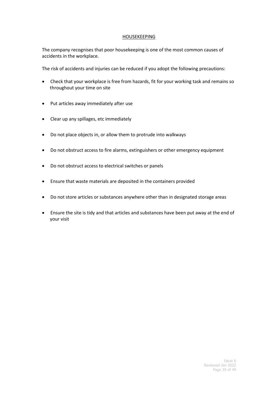#### HOUSEKEEPING

The company recognises that poor housekeeping is one of the most common causes of accidents in the workplace.

The risk of accidents and injuries can be reduced if you adopt the following precautions:

- Check that your workplace is free from hazards, fit for your working task and remains so throughout your time on site
- Put articles away immediately after use
- Clear up any spillages, etc immediately
- Do not place objects in, or allow them to protrude into walkways
- Do not obstruct access to fire alarms, extinguishers or other emergency equipment
- Do not obstruct access to electrical switches or panels
- Ensure that waste materials are deposited in the containers provided
- Do not store articles or substances anywhere other than in designated storage areas
- Ensure the site is tidy and that articles and substances have been put away at the end of your visit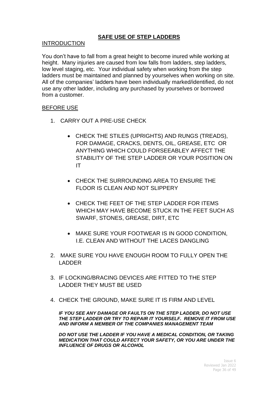#### **SAFE USE OF STEP LADDERS**

#### INTRODUCTION

You don't have to fall from a great height to become inured while working at height. Many injuries are caused from low falls from ladders, step ladders, low level staging, etc. Your individual safety when working from the step ladders must be maintained and planned by yourselves when working on site. All of the companies' ladders have been individually marked/identified, do not use any other ladder, including any purchased by yourselves or borrowed from a customer.

#### BEFORE USE

- 1. CARRY OUT A PRE-USE CHECK
	- CHECK THE STILES (UPRIGHTS) AND RUNGS (TREADS), FOR DAMAGE, CRACKS, DENTS, OIL, GREASE, ETC OR ANYTHING WHICH COULD FORSEEABLEY AFFECT THE STABILITY OF THE STEP LADDER OR YOUR POSITION ON IT
	- CHECK THE SURROUNDING AREA TO ENSURE THE FLOOR IS CLEAN AND NOT SLIPPERY
	- CHECK THE FEET OF THE STEP LADDER FOR ITEMS WHICH MAY HAVE BECOME STUCK IN THE FEET SUCH AS SWARF, STONES, GREASE, DIRT, ETC
	- MAKE SURE YOUR FOOTWEAR IS IN GOOD CONDITION, I.E. CLEAN AND WITHOUT THE LACES DANGLING
- 2. MAKE SURE YOU HAVE ENOUGH ROOM TO FULLY OPEN THE LADDER
- 3. IF LOCKING/BRACING DEVICES ARE FITTED TO THE STEP LADDER THEY MUST BE USED
- 4. CHECK THE GROUND, MAKE SURE IT IS FIRM AND LEVEL

*IF YOU SEE ANY DAMAGE OR FAULTS ON THE STEP LADDER, DO NOT USE THE STEP LADDER OR TRY TO REPAIR IT YOURSELF. REMOVE IT FROM USE AND INFORM A MEMBER OF THE COMPANIES MANAGEMENT TEAM*

*DO NOT USE THE LADDER IF YOU HAVE A MEDICAL CONDITION, OR TAKING MEDICATION THAT COULD AFFECT YOUR SAFETY, OR YOU ARE UNDER THE INFLUENCE OF DRUGS OR ALCOHOL*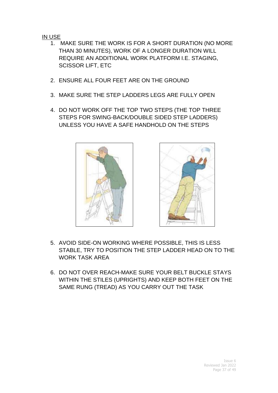#### IN USE

- 1. MAKE SURE THE WORK IS FOR A SHORT DURATION (NO MORE THAN 30 MINUTES), WORK OF A LONGER DURATION WILL REQUIRE AN ADDITIONAL WORK PLATFORM I.E. STAGING, SCISSOR LIFT, ETC
- 2. ENSURE ALL FOUR FEET ARE ON THE GROUND
- 3. MAKE SURE THE STEP LADDERS LEGS ARE FULLY OPEN
- 4. DO NOT WORK OFF THE TOP TWO STEPS (THE TOP THREE STEPS FOR SWING-BACK/DOUBLE SIDED STEP LADDERS) UNLESS YOU HAVE A SAFE HANDHOLD ON THE STEPS





- 5. AVOID SIDE-ON WORKING WHERE POSSIBLE, THIS IS LESS STABLE, TRY TO POSITION THE STEP LADDER HEAD ON TO THE WORK TASK AREA
- 6. DO NOT OVER REACH-MAKE SURE YOUR BELT BUCKLE STAYS WITHIN THE STILES (UPRIGHTS) AND KEEP BOTH FEET ON THE SAME RUNG (TREAD) AS YOU CARRY OUT THE TASK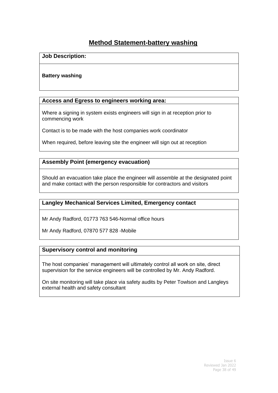## **Method Statement-battery washing**

#### **Job Description:**

#### **Battery washing**

#### **Access and Egress to engineers working area:**

Where a signing in system exists engineers will sign in at reception prior to commencing work

Contact is to be made with the host companies work coordinator

When required, before leaving site the engineer will sign out at reception

#### **Assembly Point (emergency evacuation)**

Should an evacuation take place the engineer will assemble at the designated point and make contact with the person responsible for contractors and visitors

#### **Langley Mechanical Services Limited, Emergency contact**

Mr Andy Radford, 01773 763 546-Normal office hours

Mr Andy Radford, 07870 577 828 -Mobile

#### **Supervisory control and monitoring**

The host companies' management will ultimately control all work on site, direct supervision for the service engineers will be controlled by Mr. Andy Radford.

On site monitoring will take place via safety audits by Peter Towlson and Langleys external health and safety consultant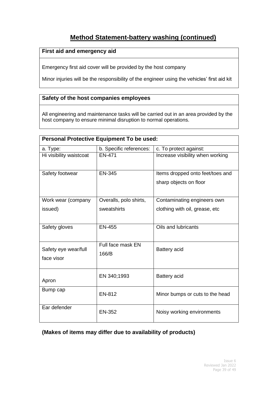## **Method Statement-battery washing (continued)**

#### **First aid and emergency aid**

Emergency first aid cover will be provided by the host company

Minor injuries will be the responsibility of the engineer using the vehicles' first aid kit

#### **Safety of the host companies employees**

All engineering and maintenance tasks will be carried out in an area provided by the host company to ensure minimal disruption to normal operations.

| <b>Personal Protective Equipment To be used:</b> |                            |                                                            |  |
|--------------------------------------------------|----------------------------|------------------------------------------------------------|--|
| a. Type:                                         | b. Specific references:    | c. To protect against:                                     |  |
| Hi visibility waistcoat                          | <b>EN-471</b>              | Increase visibility when working                           |  |
| Safety footwear                                  | <b>EN-345</b>              | Items dropped onto feet/toes and<br>sharp objects on floor |  |
| Work wear (company                               | Overalls, polo shirts,     | Contaminating engineers own                                |  |
| issued)                                          | sweatshirts                | clothing with oil, grease, etc                             |  |
| Safety gloves                                    | <b>EN-455</b>              | Oils and lubricants                                        |  |
| Safety eye wear/full<br>face visor               | Full face mask EN<br>166/B | Battery acid                                               |  |
| Apron                                            | EN 340;1993                | Battery acid                                               |  |
| Bump cap                                         | <b>EN-812</b>              | Minor bumps or cuts to the head                            |  |
| Ear defender                                     | <b>EN-352</b>              | Noisy working environments                                 |  |

#### **(Makes of items may differ due to availability of products)**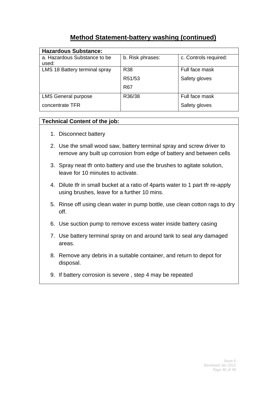## **Method Statement-battery washing (continued)**

| <b>Hazardous Substance:</b>   |                  |                       |  |
|-------------------------------|------------------|-----------------------|--|
| a. Hazardous Substance to be  | b. Risk phrases: | c. Controls required: |  |
| used:                         |                  |                       |  |
| LMS 18 Battery terminal spray | R <sub>38</sub>  | Full face mask        |  |
|                               | R51/53           | Safety gloves         |  |
|                               | R <sub>67</sub>  |                       |  |
| <b>LMS General purpose</b>    | R36/38           | Full face mask        |  |
| concentrate TFR               |                  | Safety gloves         |  |

#### **Technical Content of the job:**

- 1. Disconnect battery
- 2. Use the small wood saw, battery terminal spray and screw driver to remove any built up corrosion from edge of battery and between cells
- 3. Spray neat tfr onto battery and use the brushes to agitate solution, leave for 10 minutes to activate.
- 4. Dilute tfr in small bucket at a ratio of 4parts water to 1 part tfr re-apply using brushes, leave for a further 10 mins.
- 5. Rinse off using clean water in pump bottle, use clean cotton rags to dry off.
- 6. Use suction pump to remove excess water inside battery casing
- 7. Use battery terminal spray on and around tank to seal any damaged areas.
- 8. Remove any debris in a suitable container, and return to depot for disposal.
- 9. If battery corrosion is severe , step 4 may be repeated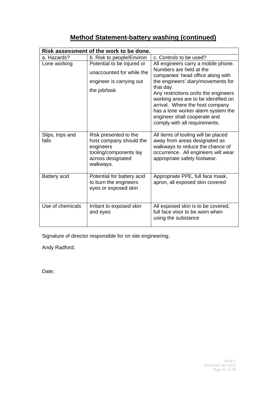## **Method Statement-battery washing (continued)**

| Risk assessment of the work to be done. |                                                                                                                           |                                                                                                                                                                                                                                                                                                                                                                                  |  |
|-----------------------------------------|---------------------------------------------------------------------------------------------------------------------------|----------------------------------------------------------------------------------------------------------------------------------------------------------------------------------------------------------------------------------------------------------------------------------------------------------------------------------------------------------------------------------|--|
| a. Hazards?                             | b. Risk to people/Environ                                                                                                 | c. Controls to be used?                                                                                                                                                                                                                                                                                                                                                          |  |
| Lone working                            | Potential to be injured or<br>unaccounted for while the<br>engineer is carrying out<br>the job/task                       | All engineers carry a mobile phone.<br>Numbers are held at the<br>companies' head office along with<br>the engineers' diary/movements for<br>that day.<br>Any restrictions on/to the engineers<br>working area are to be identified on<br>arrival. Where the host company<br>has a lone worker alarm system the<br>engineer shall cooperate and<br>comply with all requirements. |  |
| Slips, trips and<br>falls               | Risk presented to the<br>host company should the<br>engineers<br>tooling/components lay<br>across designated<br>walkways. | All items of tooling will be placed<br>away from areas designated as<br>walkways to reduce the chance of<br>occurrence. All engineers will wear<br>appropriate safety footwear.                                                                                                                                                                                                  |  |
| Battery acid                            | Potential for battery acid<br>to burn the engineers<br>eyes or exposed skin                                               | Appropriate PPE, full face mask,<br>apron, all exposed skin covered                                                                                                                                                                                                                                                                                                              |  |
| Use of chemicals                        | Irritant to exposed skin<br>and eyes                                                                                      | All exposed skin is to be covered,<br>full face visor to be worn when<br>using the substance                                                                                                                                                                                                                                                                                     |  |

Signature of director responsible for on site engineering;

Andy Radford;

Date;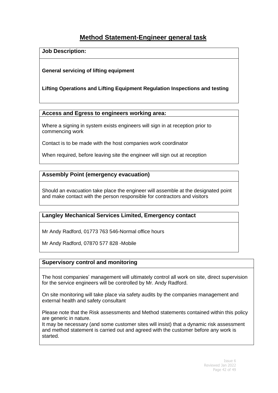## **Method Statement-Engineer general task**

**Job Description:**

#### **General servicing of lifting equipment**

#### **Lifting Operations and Lifting Equipment Regulation Inspections and testing**

#### **Access and Egress to engineers working area:**

Where a signing in system exists engineers will sign in at reception prior to commencing work

Contact is to be made with the host companies work coordinator

When required, before leaving site the engineer will sign out at reception

#### **Assembly Point (emergency evacuation)**

Should an evacuation take place the engineer will assemble at the designated point and make contact with the person responsible for contractors and visitors

#### **Langley Mechanical Services Limited, Emergency contact**

Mr Andy Radford, 01773 763 546-Normal office hours

Mr Andy Radford, 07870 577 828 -Mobile

#### **Supervisory control and monitoring**

The host companies' management will ultimately control all work on site, direct supervision for the service engineers will be controlled by Mr. Andy Radford.

On site monitoring will take place via safety audits by the companies management and external health and safety consultant

Please note that the Risk assessments and Method statements contained within this policy are generic in nature.

It may be necessary (and some customer sites will insist) that a dynamic risk assessment and method statement is carried out and agreed with the customer before any work is started.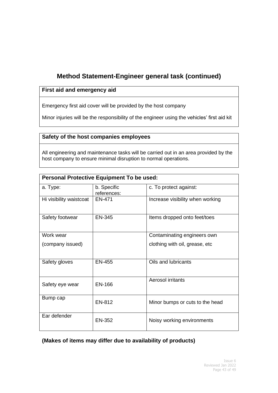## **Method Statement-Engineer general task (continued)**

#### **First aid and emergency aid**

Emergency first aid cover will be provided by the host company

Minor injuries will be the responsibility of the engineer using the vehicles' first aid kit

#### **Safety of the host companies employees**

All engineering and maintenance tasks will be carried out in an area provided by the host company to ensure minimal disruption to normal operations.

| <b>Personal Protective Equipment To be used:</b> |                            |                                  |
|--------------------------------------------------|----------------------------|----------------------------------|
| a. Type:                                         | b. Specific<br>references: | c. To protect against:           |
| Hi visibility waistcoat                          | EN-471                     | Increase visibility when working |
| Safety footwear                                  | <b>EN-345</b>              | Items dropped onto feet/toes     |
| Work wear                                        |                            | Contaminating engineers own      |
| (company issued)                                 |                            | clothing with oil, grease, etc   |
| Safety gloves                                    | <b>EN-455</b>              | Oils and lubricants              |
| Safety eye wear                                  | <b>EN-166</b>              | Aerosol irritants                |
| Bump cap                                         | EN-812                     | Minor bumps or cuts to the head  |
| Ear defender                                     | EN-352                     | Noisy working environments       |

#### **(Makes of items may differ due to availability of products)**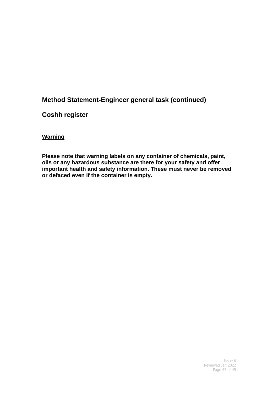## **Method Statement-Engineer general task (continued)**

## **Coshh register**

#### **Warning**

**Please note that warning labels on any container of chemicals, paint, oils or any hazardous substance are there for your safety and offer important health and safety information. These must never be removed or defaced even if the container is empty.**

> Issue 6 Reviewed Jan 2022 Page 44 of 49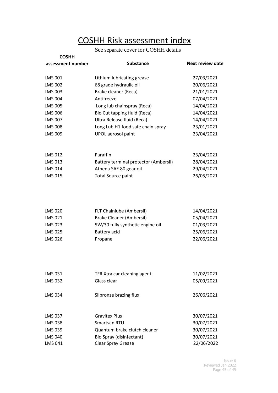# COSHH Risk assessment index

## See separate cover for COSHH details

| <b>COSHH</b>      |                                       |                         |
|-------------------|---------------------------------------|-------------------------|
| assessment number | <b>Substance</b>                      | <b>Next review date</b> |
| <b>LMS 001</b>    | Lithium lubricating grease            | 27/03/2021              |
| <b>LMS 002</b>    | 68 grade hydraulic oil                | 20/06/2021              |
| <b>LMS 003</b>    | Brake cleaner (Reca)                  | 21/01/2021              |
| <b>LMS 004</b>    | Antifreeze                            | 07/04/2021              |
| <b>LMS 005</b>    | Long lub chainspray (Reca)            | 14/04/2021              |
| <b>LMS 006</b>    | Bio Cut tapping fluid (Reca)          | 14/04/2021              |
| <b>LMS 007</b>    | Ultra Release fluid (Reca)            | 14/04/2021              |
| <b>LMS 008</b>    | Long Lub H1 food safe chain spray     | 23/01/2021              |
| LMS 009           | UPOL aerosol paint                    | 23/04/2021              |
| <b>LMS 012</b>    | Paraffin                              | 23/04/2021              |
| LMS 013           | Battery terminal protector (Ambersil) | 28/04/2021              |
| LMS 014           | Athena SAE 80 gear oil                | 29/04/2021              |
| <b>LMS 015</b>    | <b>Total Source paint</b>             | 26/05/2021              |
|                   |                                       |                         |
| <b>LMS 020</b>    | FLT Chainlube (Ambersil)              | 14/04/2021              |
| LMS 021           | <b>Brake Cleaner (Ambersil)</b>       | 05/04/2021              |
| LMS 023           | 5W/30 fully synthetic engine oil      | 01/03/2021              |
| <b>LMS 025</b>    | Battery acid                          | 25/06/2021              |
| <b>LMS 026</b>    | Propane                               | 22/06/2021              |
|                   |                                       |                         |
| LMS 031           | TFR Xtra car cleaning agent           | 11/02/2021              |
| <b>LMS 032</b>    | Glass clear                           | 05/09/2021              |
| <b>LMS 034</b>    | Silbronze brazing flux                | 26/06/2021              |
| <b>LMS 037</b>    | <b>Gravitex Plus</b>                  | 30/07/2021              |
| <b>LMS 038</b>    | Smartsan RTU                          | 30/07/2021              |
| <b>LMS 039</b>    | Quantum brake clutch cleaner          | 30/07/2021              |
| <b>LMS 040</b>    | Bio Spray (disinfectant)              | 30/07/2021              |
| <b>LMS 041</b>    | Clear Spray Grease                    | 22/06/2022              |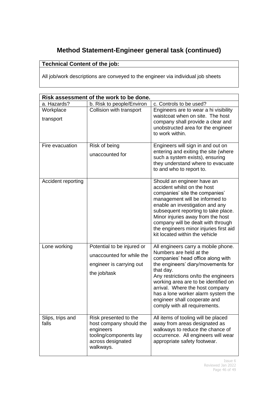## **Method Statement-Engineer general task (continued)**

## **Technical Content of the job:**

All job/work descriptions are conveyed to the engineer via individual job sheets

|                           | Risk assessment of the work to be done.                                                                                   |                                                                                                                                                                                                                                                                                                                                                                                  |
|---------------------------|---------------------------------------------------------------------------------------------------------------------------|----------------------------------------------------------------------------------------------------------------------------------------------------------------------------------------------------------------------------------------------------------------------------------------------------------------------------------------------------------------------------------|
| a. Hazards?               | b. Risk to people/Environ                                                                                                 | c. Controls to be used?                                                                                                                                                                                                                                                                                                                                                          |
| Workplace<br>transport    | Collision with transport                                                                                                  | Engineers are to wear a hi visibility<br>waistcoat when on site. The host<br>company shall provide a clear and<br>unobstructed area for the engineer<br>to work within.                                                                                                                                                                                                          |
| Fire evacuation           | Risk of being<br>unaccounted for                                                                                          | Engineers will sign in and out on<br>entering and exiting the site (where<br>such a system exists), ensuring<br>they understand where to evacuate<br>to and who to report to.                                                                                                                                                                                                    |
| Accident reporting        |                                                                                                                           | Should an engineer have an<br>accident whilst on the host<br>companies' site the companies'<br>management will be informed to<br>enable an investigation and any<br>subsequent reporting to take place.<br>Minor injuries away from the host<br>company will be dealt with through<br>the engineers minor injuries first aid<br>kit located within the vehicle                   |
| Lone working              | Potential to be injured or<br>unaccounted for while the<br>engineer is carrying out<br>the job/task                       | All engineers carry a mobile phone.<br>Numbers are held at the<br>companies' head office along with<br>the engineers' diary/movements for<br>that day.<br>Any restrictions on/to the engineers<br>working area are to be identified on<br>arrival. Where the host company<br>has a lone worker alarm system the<br>engineer shall cooperate and<br>comply with all requirements. |
| Slips, trips and<br>falls | Risk presented to the<br>host company should the<br>engineers<br>tooling/components lay<br>across designated<br>walkways. | All items of tooling will be placed<br>away from areas designated as<br>walkways to reduce the chance of<br>occurrence. All engineers will wear<br>appropriate safety footwear.                                                                                                                                                                                                  |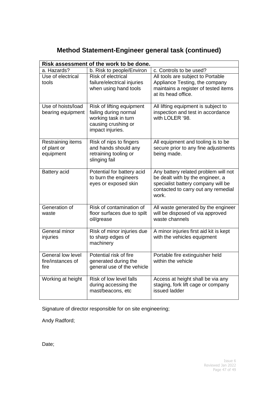|  | Method Statement-Engineer general task (continued) |  |  |  |
|--|----------------------------------------------------|--|--|--|
|--|----------------------------------------------------|--|--|--|

| Risk assessment of the work to be done.        |                                                                                                                       |                                                                                                                                                                |
|------------------------------------------------|-----------------------------------------------------------------------------------------------------------------------|----------------------------------------------------------------------------------------------------------------------------------------------------------------|
| a. Hazards?                                    | b. Risk to people/Environ                                                                                             | c. Controls to be used?                                                                                                                                        |
| Use of electrical<br>tools                     | Risk of electrical<br>failure/electrical injuries<br>when using hand tools                                            | All tools are subject to Portable<br>Appliance Testing, the company<br>maintains a register of tested items<br>at its head office.                             |
| Use of hoists/load<br>bearing equipment        | Risk of lifting equipment<br>failing during normal<br>working task in turn<br>causing crushing or<br>impact injuries. | All lifting equipment is subject to<br>inspection and test in accordance<br>with LOLER '98.                                                                    |
| Restraining items<br>of plant or<br>equipment  | Risk of nips to fingers<br>and hands should any<br>retraining tooling or<br>slinging fail                             | All equipment and tooling is to be<br>secure prior to any fine adjustments<br>being made.                                                                      |
| Battery acid                                   | Potential for battery acid<br>to burn the engineers<br>eyes or exposed skin                                           | Any battery related problem will not<br>be dealt with by the engineer, a<br>specialist battery company will be<br>contacted to carry out any remedial<br>work. |
| Generation of<br>waste                         | Risk of contamination of<br>floor surfaces due to spilt<br>oil/grease                                                 | All waste generated by the engineer<br>will be disposed of via approved<br>waste channels                                                                      |
| General minor<br>injuries                      | Risk of minor injuries due<br>to sharp edges of<br>machinery                                                          | A minor injuries first aid kit is kept<br>with the vehicles equipment                                                                                          |
| General low level<br>fire/instances of<br>fire | Potential risk of fire<br>generated during the<br>general use of the vehicle                                          | Portable fire extinguisher held<br>within the vehicle                                                                                                          |
| Working at height                              | Risk of low level falls<br>during accessing the<br>mast/beacons, etc                                                  | Access at height shall be via any<br>staging, fork lift cage or company<br>issued ladder                                                                       |

Signature of director responsible for on site engineering;

Andy Radford;

Date;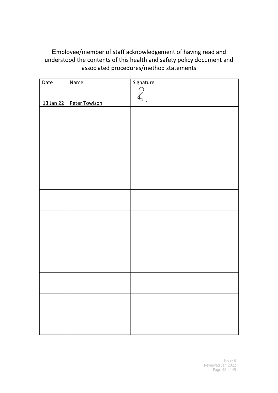## Employee/member of staff acknowledgement of having read and understood the contents of this health and safety policy document and associated procedures/method statements

| $\overline{Date}$ | Name                      | Signature |
|-------------------|---------------------------|-----------|
|                   |                           |           |
|                   | 13 Jan 22   Peter Towlson |           |
|                   |                           |           |
|                   |                           |           |
|                   |                           |           |
|                   |                           |           |
|                   |                           |           |
|                   |                           |           |
|                   |                           |           |
|                   |                           |           |
|                   |                           |           |
|                   |                           |           |
|                   |                           |           |
|                   |                           |           |
|                   |                           |           |
|                   |                           |           |
|                   |                           |           |
|                   |                           |           |
|                   |                           |           |
|                   |                           |           |
|                   |                           |           |
|                   |                           |           |
|                   |                           |           |
|                   |                           |           |
|                   |                           |           |
|                   |                           |           |